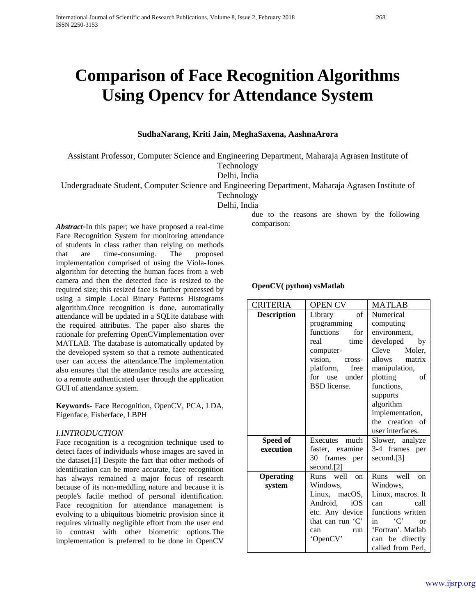# **Comparison of Face Recognition Algorithms Using Opencv for Attendance System**

# **SudhaNarang, Kriti Jain, MeghaSaxena, AashnaArora**

Assistant Professor, Computer Science and Engineering Department, Maharaja Agrasen Institute of Technology

Delhi, India

Undergraduate Student, Computer Science and Engineering Department, Maharaja Agrasen Institute of

Technology

Delhi, India

*Abstract*-In this paper; we have proposed a real-time Face Recognition System for monitoring attendance of students in class rather than relying on methods that are time-consuming. The proposed implementation comprised of using the Viola-Jones algorithm for detecting the human faces from a web camera and then the detected face is resized to the required size; this resized face is further processed by using a simple Local Binary Patterns Histograms algorithm.Once recognition is done, automatically attendance will be updated in a SQLite database with the required attributes. The paper also shares the rationale for preferring OpenCVimplementation over MATLAB. The database is automatically updated by the developed system so that a remote authenticated user can access the attendance.The implementation also ensures that the attendance results are accessing to a remote authenticated user through the application GUI of attendance system.

**Keywords-** Face Recognition, OpenCV, PCA, LDA, Eigenface, Fisherface, LBPH

# *I.INTRODUCTION*

Face recognition is a recognition technique used to detect faces of individuals whose images are saved in the dataset.[1] Despite the fact that other methods of identification can be more accurate, face recognition has always remained a major focus of research because of its non-meddling nature and because it is people's facile method of personal identification. Face recognition for attendance management is evolving to a ubiquitous biometric provision since it requires virtually negligible effort from the user end in contrast with other biometric options.The implementation is preferred to be done in OpenCV

due to the reasons are shown by the following comparison:

# **OpenCV( python) vsMatlab**

| <b>CRITERIA</b>    | <b>OPEN CV</b>              | <b>MATLAB</b>                 |  |
|--------------------|-----------------------------|-------------------------------|--|
| <b>Description</b> | $\sigma$ f<br>Library       | Numerical                     |  |
|                    | programming                 | computing                     |  |
|                    | functions<br>for            | environment,                  |  |
|                    | real<br>time                | developed<br>by               |  |
|                    | computer-                   | Cleve Moler,                  |  |
|                    | vision,<br>cross-           | allows matrix                 |  |
|                    | platform,<br>free           | manipulation,                 |  |
|                    | for use under               | plotting<br>οf                |  |
|                    | <b>BSD</b> license.         | functions,                    |  |
|                    |                             | supports                      |  |
|                    |                             | algorithm                     |  |
|                    |                             | implementation,               |  |
|                    |                             | the creation of               |  |
|                    |                             | user interfaces.              |  |
| Speed of           | Executes much               | Slower, analyze               |  |
| execution          | faster, examine             | 3-4 frames per                |  |
|                    | 30 frames per               | second.[3]                    |  |
|                    | second.[2]                  |                               |  |
| <b>Operating</b>   | Runs well<br><sub>on</sub>  | Runs well<br><sub>on</sub>    |  |
| system             | Windows,                    | Windows,                      |  |
|                    | Linux, macOS,               | Linux, macros. It             |  |
|                    | Android,<br>iOS             | call<br>can                   |  |
|                    | etc. Any device             | functions written             |  |
|                    | that can run $\mathcal{C}'$ | in $\mathcal{C}'$<br>$\alpha$ |  |
|                    | can<br>run                  | 'Fortran'. Matlab             |  |
|                    | 'OpenCV'                    | can be directly               |  |
|                    |                             | called from Perl,             |  |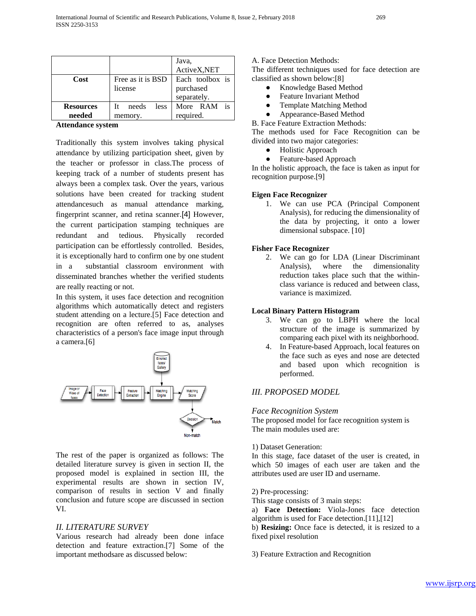|                            |                                        | Java,<br>ActiveX,NET                        |  |
|----------------------------|----------------------------------------|---------------------------------------------|--|
| Cost                       | Free as it is BSD<br>license           | Each toolbox is<br>purchased<br>separately. |  |
| <b>Resources</b><br>needed | needs<br><i>less</i><br>Tt.<br>memory. | More RAM is<br>required.                    |  |

#### **Attendance system**

Traditionally this system involves taking physical attendance by utilizing participation sheet, given by the teacher or professor in class.The process of keeping track of a number of students present has always been a complex task. Over the years, various solutions have been created for tracking student attendancesuch as manual attendance marking, fingerprint scanner, and retina scanner.[4] However, the current participation stamping techniques are redundant and tedious. Physically recorded participation can be effortlessly controlled. Besides, it is exceptionally hard to confirm one by one student in a substantial classroom environment with disseminated branches whether the verified students are really reacting or not.

In this system, it uses face detection and recognition algorithms which automatically detect and registers student attending on a lecture.[5] Face detection and recognition are often referred to as, analyses characteristics of a person's face image input through a camera.[6]



The rest of the paper is organized as follows: The detailed literature survey is given in section II, the proposed model is explained in section III, the experimental results are shown in section IV, comparison of results in section V and finally conclusion and future scope are discussed in section VI.

## *II. LITERATURE SURVEY*

Various research had already been done inface detection and feature extraction.[7] Some of the important methodsare as discussed below:

A. Face Detection Methods:

The different techniques used for face detection are classified as shown below:[8]

- Knowledge Based Method
- Feature Invariant Method
- Template Matching Method
- Appearance-Based Method

B. Face Feature Extraction Methods: The methods used for Face Recognition can be divided into two major categories:

- Holistic Approach
- Feature-based Approach

In the holistic approach, the face is taken as input for recognition purpose.[9]

#### **Eigen Face Recognizer**

1. We can use PCA (Principal Component Analysis), for reducing the dimensionality of the data by projecting, it onto a lower dimensional subspace. [10]

## **Fisher Face Recognizer**

2. We can go for LDA (Linear Discriminant Analysis), where the dimensionality reduction takes place such that the withinclass variance is reduced and between class, variance is maximized.

## **Local Binary Pattern Histogram**

- 3. We can go to LBPH where the local structure of the image is summarized by comparing each pixel with its neighborhood.
- 4. In Feature-based Approach, local features on the face such as eyes and nose are detected and based upon which recognition is performed.

## *III. PROPOSED MODEL*

## *Face Recognition System*

The proposed model for face recognition system is The main modules used are:

#### 1) Dataset Generation:

In this stage, face dataset of the user is created, in which 50 images of each user are taken and the attributes used are user ID and username.

#### 2) Pre-processing:

This stage consists of 3 main steps:

a) **Face Detection:** Viola-Jones face detection algorithm is used for Face detection.[11],[12]

b) **Resizing:** Once face is detected, it is resized to a fixed pixel resolution

#### 3) Feature Extraction and Recognition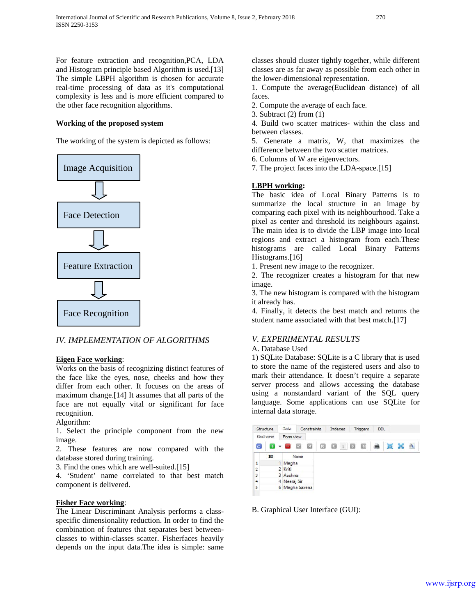For feature extraction and recognition,PCA, LDA and Histogram principle based Algorithm is used.[13] The simple LBPH algorithm is chosen for accurate real-time processing of data as it's computational complexity is less and is more efficient compared to the other face recognition algorithms.

# **Working of the proposed system**

The working of the system is depicted as follows:



# *IV. IMPLEMENTATION OF ALGORITHMS*

# **Eigen Face working**:

Works on the basis of recognizing distinct features of the face like the eyes, nose, cheeks and how they differ from each other. It focuses on the areas of maximum change.[14] It assumes that all parts of the face are not equally vital or significant for face recognition.

# Algorithm:

1. Select the principle component from the new image.

2. These features are now compared with the database stored during training.

3. Find the ones which are well-suited.[15]

4. 'Student' name correlated to that best match component is delivered.

# **Fisher Face working**:

The Linear Discriminant Analysis performs a classspecific dimensionality reduction. In order to find the combination of features that separates best betweenclasses to within-classes scatter. Fisherfaces heavily depends on the input data.The idea is simple: same classes should cluster tightly together, while different classes are as far away as possible from each other in the lower-dimensional representation.

1. Compute the average(Euclidean distance) of all faces.

2. Compute the average of each face.

3. Subtract (2) from (1)

4. Build two scatter matrices- within the class and between classes.

5. Generate a matrix, W, that maximizes the difference between the two scatter matrices.

6. Columns of W are eigenvectors.

7. The project faces into the LDA-space.[15]

# **LBPH working:**

The basic idea of Local Binary Patterns is to summarize the local structure in an image by comparing each pixel with its neighbourhood. Take a pixel as center and threshold its neighbours against. The main idea is to divide the LBP image into local regions and extract a histogram from each.These histograms are called Local Binary Patterns Histograms.[16]

1. Present new image to the recognizer.

2. The recognizer creates a histogram for that new image.

3. The new histogram is compared with the histogram it already has.

4. Finally, it detects the best match and returns the student name associated with that best match.<sup>[17]</sup>

# *V. EXPERIMENTAL RESULTS*

# A. Database Used

1) SQLite Database: SQLite is a C library that is used to store the name of the registered users and also to mark their attendance. It doesn't require a separate server process and allows accessing the database using a nonstandard variant of the SQL query language. Some applications can use SQLite for internal data storage.



# B. Graphical User Interface (GUI):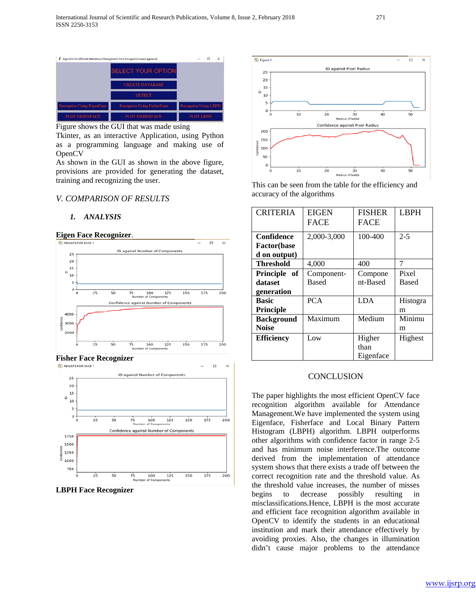

Figure shows the GUI that was made using

Tkinter, as an interactive Application, using Python as a programming language and making use of OpenCV

As shown in the GUI as shown in the above figure, provisions are provided for generating the dataset, training and recognizing the user.

## *V. COMPARISON OF RESULTS*

#### *1. ANALYSIS*

**Eigen Face Recognizer.** 



**Fisher Face Recognizer** 



**LBPH Face Recognizer**



This can be seen from the table for the efficiency and accuracy of the algorithms

| <b>CRITERIA</b>     | <b>EIGEN</b> | <b>FISHER</b> | <b>LBPH</b> |
|---------------------|--------------|---------------|-------------|
|                     | <b>FACE</b>  | <b>FACE</b>   |             |
| Confidence          | 2,000-3,000  | 100-400       | $2 - 5$     |
| <b>Factor</b> (base |              |               |             |
| d on output)        |              |               |             |
| Threshold           | 4,000        | 400           | 7           |
| Principle of        | Component-   | Compone       | Pixel       |
| dataset             | Based        | nt-Based      | Based       |
| generation          |              |               |             |
| Basic               | <b>PCA</b>   | <b>LDA</b>    | Histogra    |
| Principle           |              |               | m           |
| <b>Background</b>   | Maximum      | Medium        | Minimu      |
| <b>Noise</b>        |              |               | m           |
| <b>Efficiency</b>   | Low          | Higher        | Highest     |
|                     |              | than          |             |
|                     |              | Eigenface     |             |

## **CONCLUSION**

The paper highlights the most efficient OpenCV face recognition algorithm available for Attendance Management.We have implemented the system using Eigenface, Fisherface and Local Binary Pattern Histogram (LBPH) algorithm. LBPH outperforms other algorithms with confidence factor in range 2-5 and has minimum noise interference.The outcome derived from the implementation of attendance system shows that there exists a trade off between the correct recognition rate and the threshold value. As the threshold value increases, the number of misses begins to decrease possibly resulting in misclassifications.Hence, LBPH is the most accurate and efficient face recognition algorithm available in OpenCV to identify the students in an educational institution and mark their attendance effectively by avoiding proxies. Also, the changes in illumination didn't cause major problems to the attendance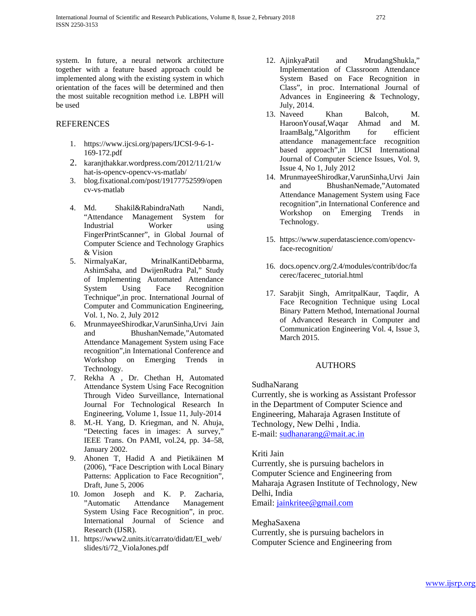system. In future, a neural network architecture together with a feature based approach could be implemented along with the existing system in which orientation of the faces will be determined and then the most suitable recognition method i.e. LBPH will be used

# **REFERENCES**

- 1. https://www.ijcsi.org/papers/IJCSI-9-6-1- 169-172.pdf
- 2. [karanjthakkar.wordpress.com/2012/11/21/w](https://karanjthakkar.wordpress.com/2012/11/21/what-is-opencv-opencv-vs-matlab/) [hat-is-opencv-opencv-vs-matlab/](https://karanjthakkar.wordpress.com/2012/11/21/what-is-opencv-opencv-vs-matlab/)
- 3. [blog.fixational.com/post/19177752599/open](http://blog.fixational.com/post/19177752599/opencv-vs-matlab) [cv-vs-matlab](http://blog.fixational.com/post/19177752599/opencv-vs-matlab)
- 4. Md. Shakil&RabindraNath Nandi, "Attendance Management System for Industrial Worker using FingerPrintScanner", in Global Journal of Computer Science and Technology Graphics & Vision
- 5. NirmalyaKar, MrinalKantiDebbarma, AshimSaha, and DwijenRudra Pal," Study of Implementing Automated Attendance System Using Face Recognition Technique",in proc. International Journal of Computer and Communication Engineering, Vol. 1, No. 2, July 2012
- 6. MrunmayeeShirodkar,VarunSinha,Urvi Jain and BhushanNemade,"Automated Attendance Management System using Face recognition",in International Conference and Workshop on Emerging Trends in Technology.
- 7. Rekha A , Dr. Chethan H, Automated Attendance System Using Face Recognition Through Video Surveillance, International Journal For Technological Research In Engineering, Volume 1, Issue 11, July-2014
- 8. M.-H. Yang, D. Kriegman, and N. Ahuja, "Detecting faces in images: A survey," IEEE Trans. On PAMI, vol.24, pp. 34–58, January 2002.
- 9. Ahonen T, Hadid A and Pietikäinen M (2006), "Face Description with Local Binary Patterns: Application to Face Recognition", Draft, June 5, 2006
- 10. Jomon Joseph and K. P. Zacharia, "Automatic Attendance Management System Using Face Recognition", in proc. International Journal of Science and Research (IJSR).
- 11. [https://www2.units.it/carrato/didatt/EI\\_web/](https://www2.units.it/carrato/didatt/EI_web/slides/ti/72_ViolaJones.pdf) [slides/ti/72\\_ViolaJones.pdf](https://www2.units.it/carrato/didatt/EI_web/slides/ti/72_ViolaJones.pdf)
- 12. AjinkyaPatil and MrudangShukla," Implementation of Classroom Attendance System Based on Face Recognition in Class", in proc. International Journal of Advances in Engineering & Technology, July, 2014.
- 13. Naveed Khan Balcoh, M. HaroonYousaf,Waqar Ahmad and M. IraamBalg,"Algorithm for efficient attendance management:face recognition based approach",in IJCSI International Journal of Computer Science Issues, Vol. 9, Issue 4, No 1, July 2012
- 14. MrunmayeeShirodkar,VarunSinha,Urvi Jain and BhushanNemade,"Automated Attendance Management System using Face recognition",in International Conference and Workshop on Emerging Trends in Technology.
- 15. [https://www.superdatascience.com/opencv](https://www.superdatascience.com/opencv-face-recognition/)[face-recognition/](https://www.superdatascience.com/opencv-face-recognition/)
- 16. docs.opencv.org/2.4/modules/contrib/doc/fa cerec/facerec\_tutorial.html
- 17. Sarabjit Singh, AmritpalKaur, Taqdir, A Face Recognition Technique using Local Binary Pattern Method, International Journal of Advanced Research in Computer and Communication Engineering Vol. 4, Issue 3, March 2015.

# AUTHORS

SudhaNarang

Currently, she is working as Assistant Professor in the Department of Computer Science and Engineering, Maharaja Agrasen Institute of Technology, New Delhi , India. E-mail: [sudhanarang@mait.ac.in](mailto:sudhanarang@mait.ac.in)

Kriti Jain

Currently, she is pursuing bachelors in Computer Science and Engineering from Maharaja Agrasen Institute of Technology, New Delhi, India Email: [jainkritee@gmail.com](mailto:jainkritee@gmail.com)

MeghaSaxena

Currently, she is pursuing bachelors in Computer Science and Engineering from